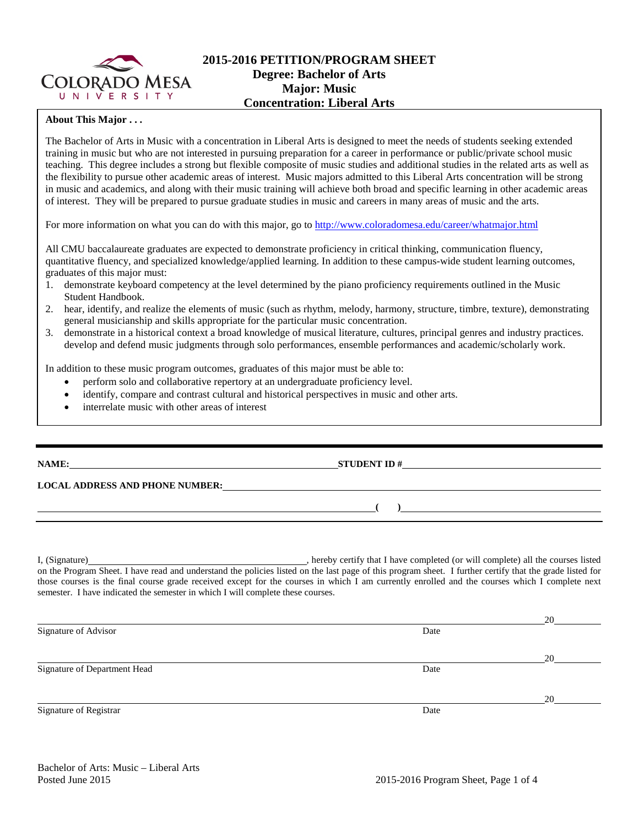

## **2015-2016 PETITION/PROGRAM SHEET Degree: Bachelor of Arts Major: Music Concentration: Liberal Arts**

### **About This Major . . .**

The Bachelor of Arts in Music with a concentration in Liberal Arts is designed to meet the needs of students seeking extended training in music but who are not interested in pursuing preparation for a career in performance or public/private school music teaching. This degree includes a strong but flexible composite of music studies and additional studies in the related arts as well as the flexibility to pursue other academic areas of interest. Music majors admitted to this Liberal Arts concentration will be strong in music and academics, and along with their music training will achieve both broad and specific learning in other academic areas of interest. They will be prepared to pursue graduate studies in music and careers in many areas of music and the arts.

For more information on what you can do with this major, go to<http://www.coloradomesa.edu/career/whatmajor.html>

All CMU baccalaureate graduates are expected to demonstrate proficiency in critical thinking, communication fluency, quantitative fluency, and specialized knowledge/applied learning. In addition to these campus-wide student learning outcomes, graduates of this major must:

- 1. demonstrate keyboard competency at the level determined by the piano proficiency requirements outlined in the Music Student Handbook.
- 2. hear, identify, and realize the elements of music (such as rhythm, melody, harmony, structure, timbre, texture), demonstrating general musicianship and skills appropriate for the particular music concentration.
- 3. demonstrate in a historical context a broad knowledge of musical literature, cultures, principal genres and industry practices. develop and defend music judgments through solo performances, ensemble performances and academic/scholarly work.

In addition to these music program outcomes, graduates of this major must be able to:

- perform solo and collaborative repertory at an undergraduate proficiency level.
- identify, compare and contrast cultural and historical perspectives in music and other arts.
- interrelate music with other areas of interest

| NAME:                                  | <b>STUDENT ID#</b> |
|----------------------------------------|--------------------|
| <b>LOCAL ADDRESS AND PHONE NUMBER:</b> |                    |
|                                        |                    |
|                                        |                    |

I, (Signature) , hereby certify that I have completed (or will complete) all the courses listed on the Program Sheet. I have read and understand the policies listed on the last page of this program sheet. I further certify that the grade listed for those courses is the final course grade received except for the courses in which I am currently enrolled and the courses which I complete next semester. I have indicated the semester in which I will complete these courses.

|                              |      | 20 |
|------------------------------|------|----|
| Signature of Advisor         | Date |    |
|                              |      | 20 |
| Signature of Department Head | Date |    |
|                              |      | 20 |
| Signature of Registrar       | Date |    |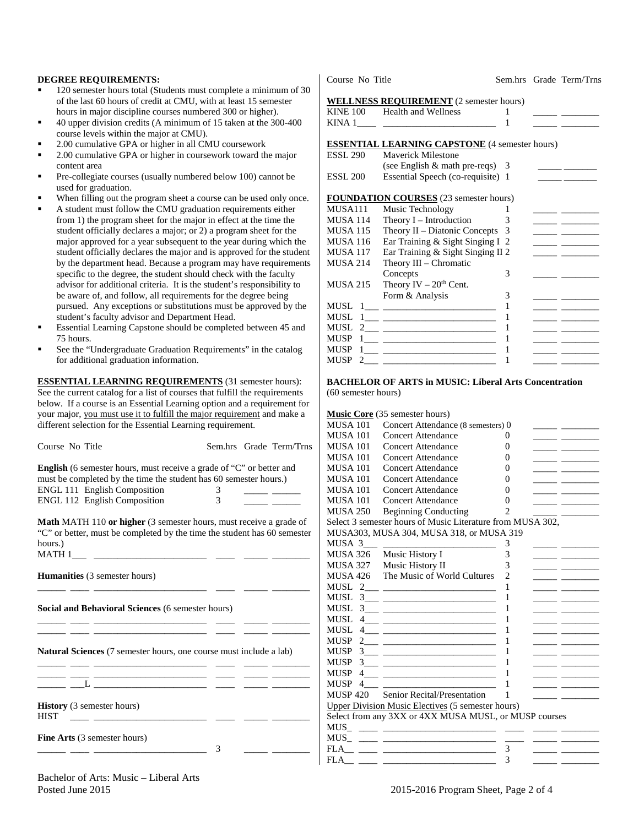#### **DEGREE REQUIREMENTS:**

- 120 semester hours total (Students must complete a minimum of 30 of the last 60 hours of credit at CMU, with at least 15 semester hours in major discipline courses numbered 300 or higher).
- 40 upper division credits (A minimum of 15 taken at the 300-400 course levels within the major at CMU).
- 2.00 cumulative GPA or higher in all CMU coursework
- 2.00 cumulative GPA or higher in coursework toward the major content area
- Pre-collegiate courses (usually numbered below 100) cannot be used for graduation.
- When filling out the program sheet a course can be used only once.
- A student must follow the CMU graduation requirements either from 1) the program sheet for the major in effect at the time the student officially declares a major; or 2) a program sheet for the major approved for a year subsequent to the year during which the student officially declares the major and is approved for the student by the department head. Because a program may have requirements specific to the degree, the student should check with the faculty advisor for additional criteria. It is the student's responsibility to be aware of, and follow, all requirements for the degree being pursued. Any exceptions or substitutions must be approved by the student's faculty advisor and Department Head.
- Essential Learning Capstone should be completed between 45 and 75 hours.
- See the "Undergraduate Graduation Requirements" in the catalog for additional graduation information.

**ESSENTIAL LEARNING REQUIREMENTS** (31 semester hours): See the current catalog for a list of courses that fulfill the requirements below. If a course is an Essential Learning option and a requirement for your major, you must use it to fulfill the major requirement and make a different selection for the Essential Learning requirement.

| Course No Title                                                                                                                                                                                                             |   |  | Sem.hrs Grade Term/Trns |  |  |  |
|-----------------------------------------------------------------------------------------------------------------------------------------------------------------------------------------------------------------------------|---|--|-------------------------|--|--|--|
| <b>English</b> (6 semester hours, must receive a grade of "C" or better and<br>must be completed by the time the student has 60 semester hours.)                                                                            |   |  |                         |  |  |  |
| ENGL 111 English Composition                                                                                                                                                                                                | 3 |  |                         |  |  |  |
| ENGL 112 English Composition                                                                                                                                                                                                | 3 |  |                         |  |  |  |
| <b>Math MATH 110 or higher</b> (3 semester hours, must receive a grade of<br>"C" or better, must be completed by the time the student has 60 semester<br>hours.)                                                            |   |  |                         |  |  |  |
| <b>Humanities</b> (3 semester hours)                                                                                                                                                                                        |   |  |                         |  |  |  |
| Social and Behavioral Sciences (6 semester hours)                                                                                                                                                                           |   |  |                         |  |  |  |
| <b>Natural Sciences</b> (7 semester hours, one course must include a lab)<br>the contract of the contract of the contract of the contract of the contract of<br><u> 1989 - Andrea Stadt Britain, amerikansk politiker (</u> |   |  |                         |  |  |  |
|                                                                                                                                                                                                                             |   |  |                         |  |  |  |
| <b>History</b> (3 semester hours)<br><b>HIST</b><br><u> 1989 - Johann Harrison, mars eta e</u>                                                                                                                              |   |  |                         |  |  |  |
| <b>Fine Arts</b> (3 semester hours)                                                                                                                                                                                         | 3 |  |                         |  |  |  |

Course No Title Sem.hrs Grade Term/Trns

#### **WELLNESS REQUIREMENT** (2 semester hours)

|                 | $\frac{1}{2}$ below $\frac{1}{2}$ below the contract of $\frac{1}{2}$                                                                                                                                                                                                                                |   |                                                                                                                       |
|-----------------|------------------------------------------------------------------------------------------------------------------------------------------------------------------------------------------------------------------------------------------------------------------------------------------------------|---|-----------------------------------------------------------------------------------------------------------------------|
|                 | KINE 100 Health and Wellness                                                                                                                                                                                                                                                                         | 1 |                                                                                                                       |
|                 |                                                                                                                                                                                                                                                                                                      | 1 |                                                                                                                       |
|                 |                                                                                                                                                                                                                                                                                                      |   |                                                                                                                       |
|                 | <b>ESSENTIAL LEARNING CAPSTONE</b> (4 semester hours)                                                                                                                                                                                                                                                |   |                                                                                                                       |
| <b>ESSL 290</b> | <b>Maverick Milestone</b>                                                                                                                                                                                                                                                                            |   |                                                                                                                       |
|                 | (see English $\&$ math pre-reqs) 3                                                                                                                                                                                                                                                                   |   |                                                                                                                       |
| <b>ESSL 200</b> | Essential Speech (co-requisite) 1                                                                                                                                                                                                                                                                    |   | <u> 1990 - Jan Barnett, mars et al.</u>                                                                               |
|                 |                                                                                                                                                                                                                                                                                                      |   |                                                                                                                       |
|                 | <b>FOUNDATION COURSES</b> (23 semester hours)                                                                                                                                                                                                                                                        |   |                                                                                                                       |
| MUSA111         | Music Technology                                                                                                                                                                                                                                                                                     | 1 |                                                                                                                       |
| <b>MUSA 114</b> | Theory $I$ – Introduction                                                                                                                                                                                                                                                                            | 3 | <u> 1989 - Johann John Stone, mars and de la partie de la partie de la partie de la partie de la partie de la par</u> |
| <b>MUSA 115</b> | Theory II – Diatonic Concepts $3$                                                                                                                                                                                                                                                                    |   |                                                                                                                       |
| <b>MUSA 116</b> | Ear Training & Sight Singing I 2                                                                                                                                                                                                                                                                     |   |                                                                                                                       |
| <b>MUSA 117</b> | Ear Training & Sight Singing II 2                                                                                                                                                                                                                                                                    |   |                                                                                                                       |
| <b>MUSA 214</b> | Theory III - Chromatic                                                                                                                                                                                                                                                                               |   |                                                                                                                       |
|                 | Concepts                                                                                                                                                                                                                                                                                             | 3 |                                                                                                                       |
| <b>MUSA 215</b> | Theory IV $-20$ <sup>th</sup> Cent.                                                                                                                                                                                                                                                                  |   |                                                                                                                       |
|                 | Form & Analysis                                                                                                                                                                                                                                                                                      | 3 | <u> 1989 - Johann Barbara, martxa a shekara 1989 - An</u>                                                             |
| MUSL            |                                                                                                                                                                                                                                                                                                      | 1 |                                                                                                                       |
| <b>MUSL</b>     | $\begin{tabular}{ c c c c } \hline $1$ & \quad \quad & \quad \quad & \quad \quad & \quad \quad \\ \hline \end{tabular}$                                                                                                                                                                              | 1 | <u> 1989 - John Barnett, francuski politik (</u>                                                                      |
| MUSL            |                                                                                                                                                                                                                                                                                                      | 1 | $\overline{\phantom{a}}$ and $\overline{\phantom{a}}$ and $\overline{\phantom{a}}$                                    |
| <b>MUSP</b>     | $\begin{tabular}{c} 1.25cm & 1.25cm & 1.25cm & 1.25cm & 1.25cm & 1.25cm & 1.25cm & 1.25cm & 1.25cm & 1.25cm & 1.25cm & 1.25cm & 1.25cm & 1.25cm & 1.25cm & 1.25cm & 1.25cm & 1.25cm & 1.25cm & 1.25cm & 1.25cm & 1.25cm & 1.25cm & 1.25cm & 1.25cm & 1.25cm & 1.25cm & 1.25cm & 1.25cm & 1.25cm & 1$ |   |                                                                                                                       |
| MUSP            |                                                                                                                                                                                                                                                                                                      |   | <u> 1989 - Alexandria Statistiko eta A</u>                                                                            |
| <b>MUSP</b>     |                                                                                                                                                                                                                                                                                                      |   |                                                                                                                       |

#### **BACHELOR OF ARTS in MUSIC: Liberal Arts Concentration**  (60 semester hours)

#### **Music Core** (35 semester hours)

| <b>MUSA 101</b> | Concert Attendance (8 semesters) 0                                                                                                                                                                                                                                                                                                   |                |                                                               |  |
|-----------------|--------------------------------------------------------------------------------------------------------------------------------------------------------------------------------------------------------------------------------------------------------------------------------------------------------------------------------------|----------------|---------------------------------------------------------------|--|
| MUSA 101        | Concert Attendance                                                                                                                                                                                                                                                                                                                   | $\Omega$       |                                                               |  |
| MUSA 101        | Concert Attendance                                                                                                                                                                                                                                                                                                                   | $\Omega$       |                                                               |  |
| MUSA 101        | Concert Attendance                                                                                                                                                                                                                                                                                                                   | $\Omega$       |                                                               |  |
| MUSA 101        | Concert Attendance                                                                                                                                                                                                                                                                                                                   | $\Omega$       |                                                               |  |
| MUSA 101        | Concert Attendance                                                                                                                                                                                                                                                                                                                   | 0              |                                                               |  |
|                 | MUSA 101 Concert Attendance                                                                                                                                                                                                                                                                                                          | $_{0}$         |                                                               |  |
|                 | MUSA 101 Concert Attendance                                                                                                                                                                                                                                                                                                          | $\Omega$       | <u> 1980 - Jan James James Barnett, amerikansk fotograf (</u> |  |
| MUSA 250        | <b>Beginning Conducting</b>                                                                                                                                                                                                                                                                                                          | 2              |                                                               |  |
|                 | Select 3 semester hours of Music Literature from MUSA 302,                                                                                                                                                                                                                                                                           |                |                                                               |  |
|                 | MUSA303, MUSA 304, MUSA 318, or MUSA 319                                                                                                                                                                                                                                                                                             |                |                                                               |  |
| MUSA 3          |                                                                                                                                                                                                                                                                                                                                      | 3              |                                                               |  |
|                 | MUSA 326 Music History I                                                                                                                                                                                                                                                                                                             | 3              |                                                               |  |
|                 | MUSA 327 Music History II                                                                                                                                                                                                                                                                                                            | 3              |                                                               |  |
|                 | MUSA 426 The Music of World Cultures                                                                                                                                                                                                                                                                                                 | $\overline{2}$ |                                                               |  |
|                 |                                                                                                                                                                                                                                                                                                                                      | 1              |                                                               |  |
|                 |                                                                                                                                                                                                                                                                                                                                      | 1              |                                                               |  |
|                 |                                                                                                                                                                                                                                                                                                                                      | 1              |                                                               |  |
|                 |                                                                                                                                                                                                                                                                                                                                      | 1              |                                                               |  |
|                 |                                                                                                                                                                                                                                                                                                                                      | 1              |                                                               |  |
| <b>MUSP</b>     | $2$ and $\overline{2}$ and $\overline{2}$ and $\overline{2}$ and $\overline{2}$ and $\overline{2}$ and $\overline{2}$ and $\overline{2}$ and $\overline{2}$ and $\overline{2}$ and $\overline{2}$ and $\overline{2}$ and $\overline{2}$ and $\overline{2}$ and $\overline{2}$ and $\overline{2}$ and $\overline{2}$ and $\overline{$ | 1              |                                                               |  |
|                 |                                                                                                                                                                                                                                                                                                                                      | 1              |                                                               |  |
|                 |                                                                                                                                                                                                                                                                                                                                      | 1              |                                                               |  |
|                 |                                                                                                                                                                                                                                                                                                                                      | 1              |                                                               |  |
| MUSP 4          |                                                                                                                                                                                                                                                                                                                                      | 1              |                                                               |  |
|                 | MUSP 420 Senior Recital/Presentation                                                                                                                                                                                                                                                                                                 | 1              |                                                               |  |
|                 | <b>Upper Division Music Electives (5 semester hours)</b>                                                                                                                                                                                                                                                                             |                |                                                               |  |
|                 | Select from any 3XX or 4XX MUSA MUSL, or MUSP courses                                                                                                                                                                                                                                                                                |                |                                                               |  |
|                 |                                                                                                                                                                                                                                                                                                                                      |                |                                                               |  |
|                 |                                                                                                                                                                                                                                                                                                                                      |                |                                                               |  |
|                 |                                                                                                                                                                                                                                                                                                                                      | 3              |                                                               |  |
| FLA             |                                                                                                                                                                                                                                                                                                                                      | 3              |                                                               |  |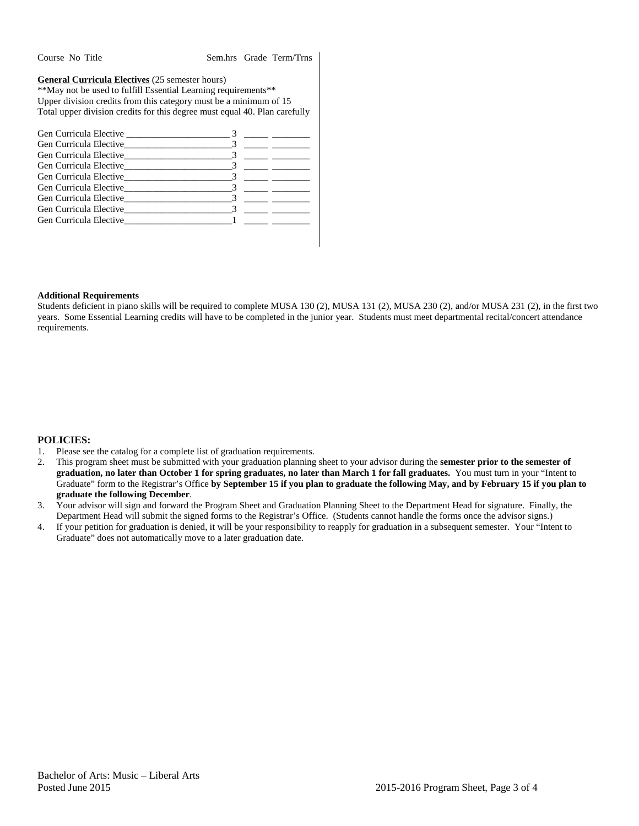Course No Title Sem.hrs Grade Term/Trns

**General Curricula Electives** (25 semester hours)

\*\*May not be used to fulfill Essential Learning requirements\*\* Upper division credits from this category must be a minimum of 15 Total upper division credits for this degree must equal 40. Plan carefully

|  | <u> 1999 - Jan Alexandria (</u> |
|--|---------------------------------|
|  |                                 |
|  |                                 |
|  |                                 |
|  |                                 |
|  |                                 |
|  |                                 |
|  |                                 |
|  |                                 |

#### **Additional Requirements**

Students deficient in piano skills will be required to complete MUSA 130 (2), MUSA 131 (2), MUSA 230 (2), and/or MUSA 231 (2), in the first two years. Some Essential Learning credits will have to be completed in the junior year. Students must meet departmental recital/concert attendance requirements.

#### **POLICIES:**

- 1. Please see the catalog for a complete list of graduation requirements.
- 2. This program sheet must be submitted with your graduation planning sheet to your advisor during the **semester prior to the semester of graduation, no later than October 1 for spring graduates, no later than March 1 for fall graduates.** You must turn in your "Intent to Graduate" form to the Registrar's Office **by September 15 if you plan to graduate the following May, and by February 15 if you plan to graduate the following December**.
- 3. Your advisor will sign and forward the Program Sheet and Graduation Planning Sheet to the Department Head for signature. Finally, the Department Head will submit the signed forms to the Registrar's Office. (Students cannot handle the forms once the advisor signs.)
- 4. If your petition for graduation is denied, it will be your responsibility to reapply for graduation in a subsequent semester. Your "Intent to Graduate" does not automatically move to a later graduation date.